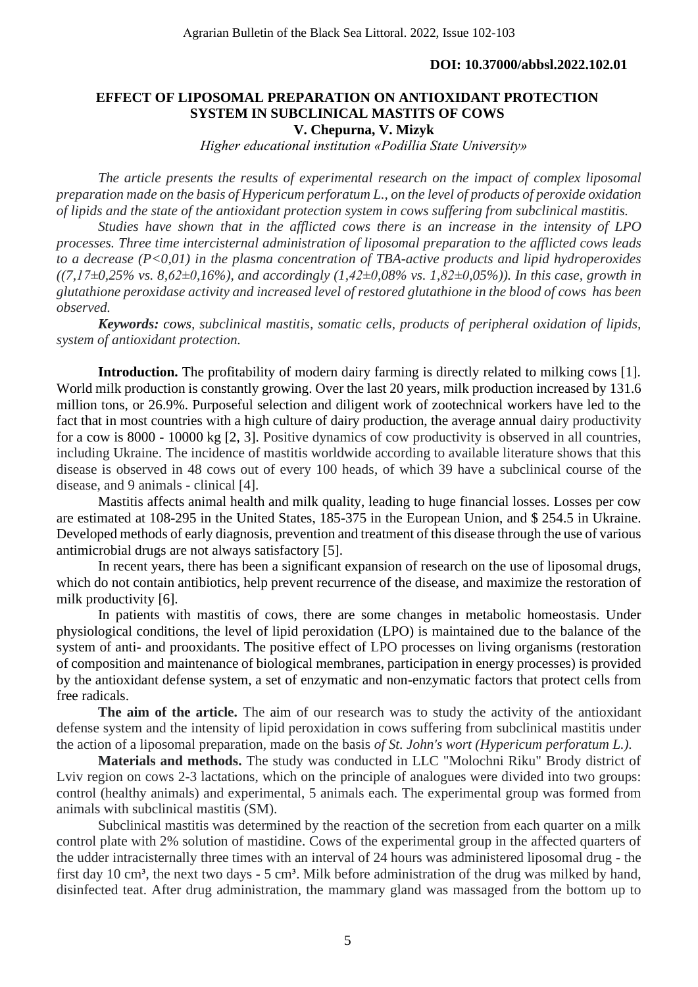#### **DOI: 10.37000/abbsl.2022.102.01**

## **EFFECT OF LIPOSOMAL PREPARATION ON ANTIOXIDANT PROTECTION SYSTEM IN SUBCLINICAL MASTITS OF COWS V. Chepurna, V. Mizyk**

*Higher educational institution «Podillia State University»*

*The article presents the results of experimental research on the impact of complex liposomal preparation made on the basis of Hypericum perforatum L., on the level of products of peroxide oxidation of lipids and the state of the antioxidant protection system in cows suffering from subclinical mastitis.* 

*Studies have shown that in the afflicted cows there is an increase in the intensity of LPO processes. Three time intercisternal administration of liposomal preparation to the afflicted cows leads to a decrease (P<0,01) in the plasma concentration of TBA-active products and lipid hydroperoxides ((7,17±0,25% vs. 8,62±0,16%), and accordingly (1,42±0,08% vs. 1,82±0,05%)). In this case, growth in glutathione peroxidase activity and increased level of restored glutathione in the blood of cows has been observed.*

*Keywords: cows, subclinical mastitis, somatic cells, products of peripheral oxidation of lipids, system of antioxidant protection.*

**Introduction.** The profitability of modern dairy farming is directly related to milking cows [1]. World milk production is constantly growing. Over the last 20 years, milk production increased by 131.6 million tons, or 26.9%. Purposeful selection and diligent work of zootechnical workers have led to the fact that in most countries with a high culture of dairy production, the average annual dairy productivity for a cow is 8000 - 10000 kg [2, 3]. Positive dynamics of cow productivity is observed in all countries, including Ukraine. The incidence of mastitis worldwide according to available literature shows that this disease is observed in 48 cows out of every 100 heads, of which 39 have a subclinical course of the disease, and 9 animals - clinical [4].

Mastitis affects animal health and milk quality, leading to huge financial losses. Losses per cow are estimated at 108-295 in the United States, 185-375 in the European Union, and \$ 254.5 in Ukraine. Developed methods of early diagnosis, prevention and treatment of this disease through the use of various antimicrobial drugs are not always satisfactory [5].

In recent years, there has been a significant expansion of research on the use of liposomal drugs, which do not contain antibiotics, help prevent recurrence of the disease, and maximize the restoration of milk productivity [6].

In patients with mastitis of cows, there are some changes in metabolic homeostasis. Under physiological conditions, the level of lipid peroxidation (LPO) is maintained due to the balance of the system of anti- and prooxidants. The positive effect of LPO processes on living organisms (restoration of composition and maintenance of biological membranes, participation in energy processes) is provided by the antioxidant defense system, a set of enzymatic and non-enzymatic factors that protect cells from free radicals.

The aim of the article. The aim of our research was to study the activity of the antioxidant defense system and the intensity of lipid peroxidation in cows suffering from subclinical mastitis under the action of a liposomal preparation, made on the basis *of St. John's wort (Hypericum perforatum L.).*

**Materials and methods.** The study was conducted in LLC "Molochni Riku" Brody district of Lviv region on cows 2-3 lactations, which on the principle of analogues were divided into two groups: control (healthy animals) and experimental, 5 animals each. The experimental group was formed from animals with subclinical mastitis (SM).

Subclinical mastitis was determined by the reaction of the secretion from each quarter on a milk control plate with 2% solution of mastidine. Cows of the experimental group in the affected quarters of the udder intracisternally three times with an interval of 24 hours was administered liposomal drug - the first day 10 cm<sup>3</sup>, the next two days - 5 cm<sup>3</sup>. Milk before administration of the drug was milked by hand, disinfected teat. After drug administration, the mammary gland was massaged from the bottom up to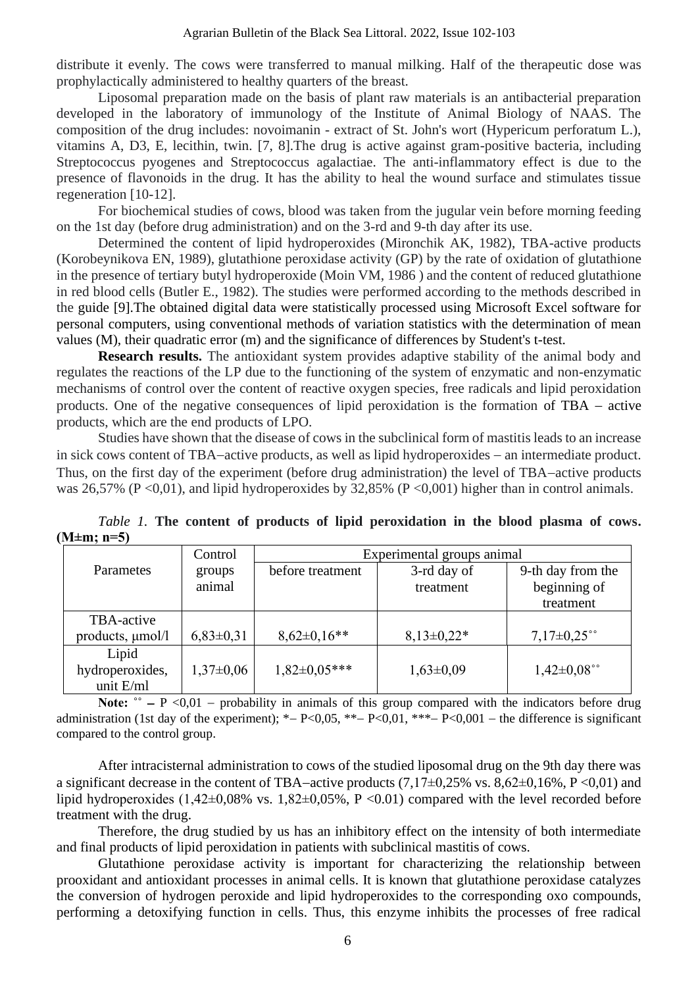distribute it evenly. The cows were transferred to manual milking. Half of the therapeutic dose was prophylactically administered to healthy quarters of the breast.

Liposomal preparation made on the basis of plant raw materials is an antibacterial preparation developed in the laboratory of immunology of the Institute of Animal Biology of NAAS. The composition of the drug includes: novoimanin - extract of St. John's wort (Hypericum perforatum L.), vitamins A, D3, E, lecithin, twin. [7, 8].The drug is active against gram-positive bacteria, including Streptococcus pyogenes and Streptococcus agalactiae. The anti-inflammatory effect is due to the presence of flavonoids in the drug. It has the ability to heal the wound surface and stimulates tissue regeneration [10-12].

For biochemical studies of cows, blood was taken from the jugular vein before morning feeding on the 1st day (before drug administration) and on the 3-rd and 9-th day after its use.

Determined the content of lipid hydroperoxides (Mironchik AK, 1982), TBA-active products (Korobeynikova EN, 1989), glutathione peroxidase activity (GP) by the rate of oxidation of glutathione in the presence of tertiary butyl hydroperoxide (Moin VM, 1986 ) and the content of reduced glutathione in red blood cells (Butler E., 1982). The studies were performed according to the methods described in the guide [9].The obtained digital data were statistically processed using Microsoft Excel software for personal computers, using conventional methods of variation statistics with the determination of mean values (M), their quadratic error (m) and the significance of differences by Student's t-test.

**Research results.** The antioxidant system provides adaptive stability of the animal body and regulates the reactions of the LP due to the functioning of the system of enzymatic and non-enzymatic mechanisms of control over the content of reactive oxygen species, free radicals and lipid peroxidation products. One of the negative consequences of lipid peroxidation is the formation of TBA − active products, which are the end products of LPO.

Studies have shown that the disease of cows in the subclinical form of mastitis leads to an increase in sick cows content of TBA−active products, as well as lipid hydroperoxides − an intermediate product. Thus, on the first day of the experiment (before drug administration) the level of TBA−active products was 26,57% (P <0,01), and lipid hydroperoxides by 32,85% (P <0,001) higher than in control animals.

|                  | Control       | Experimental groups animal |                |                   |  |
|------------------|---------------|----------------------------|----------------|-------------------|--|
| <b>Parametes</b> | groups        | before treatment           | 3-rd day of    | 9-th day from the |  |
|                  | animal        |                            | treatment      | beginning of      |  |
|                  |               |                            |                | treatment         |  |
| TBA-active       |               |                            |                |                   |  |
| products, µmol/l | $6,83\pm0,31$ | $8,62 \pm 0,16**$          | $8,13\pm0,22*$ | $7,17\pm0,25$ °°  |  |
| Lipid            |               |                            |                |                   |  |
| hydroperoxides,  | $1,37\pm0,06$ | $1,82 \pm 0.05***$         | $1,63\pm0,09$  | $1,42\pm0.08$ °°  |  |
| unit E/ml        |               |                            |                |                   |  |

*Table 1.* The content of products of lipid peroxidation in the blood plasma of cows. **(М±m; n=5)**

Note: <sup>•</sup> − P <0,01 − probability in animals of this group compared with the indicators before drug administration (1st day of the experiment); \*− P<0,05, \*\*− P<0,01, \*\*\*− P<0,001 − the difference is significant compared to the control group.

After intracisternal administration to cows of the studied liposomal drug on the 9th day there was a significant decrease in the content of TBA−active products (7,17±0,25% vs. 8,62±0,16%, P <0,01) and lipid hydroperoxides  $(1,42\pm0,08\%$  vs.  $1,82\pm0,05\%$ , P <0.01) compared with the level recorded before treatment with the drug.

Therefore, the drug studied by us has an inhibitory effect on the intensity of both intermediate and final products of lipid peroxidation in patients with subclinical mastitis of cows.

Glutathione peroxidase activity is important for characterizing the relationship between prooxidant and antioxidant processes in animal cells. It is known that glutathione peroxidase catalyzes the conversion of hydrogen peroxide and lipid hydroperoxides to the corresponding oxo compounds, performing a detoxifying function in cells. Thus, this enzyme inhibits the processes of free radical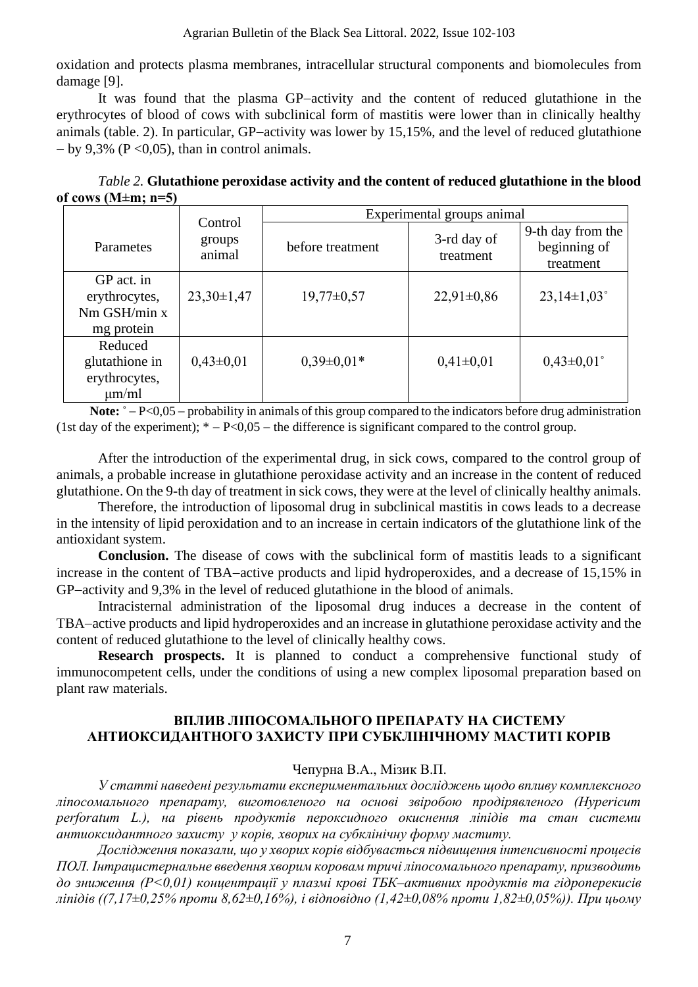oxidation and protects plasma membranes, intracellular structural components and biomolecules from damage [9].

It was found that the plasma GP−activity and the content of reduced glutathione in the erythrocytes of blood of cows with subclinical form of mastitis were lower than in clinically healthy animals (table. 2). In particular, GP−activity was lower by 15,15%, and the level of reduced glutathione  $-$  by 9,3% (P < 0,05), than in control animals.

|                          | <i>Table 2.</i> Glutathione peroxidase activity and the content of reduced glutathione in the blood |
|--------------------------|-----------------------------------------------------------------------------------------------------|
| of cows (M $\pm$ m; n=5) |                                                                                                     |

|                                                                | Control          | Experimental groups animal |                          |                                                |  |
|----------------------------------------------------------------|------------------|----------------------------|--------------------------|------------------------------------------------|--|
| Parametes                                                      | groups<br>animal | before treatment           | 3-rd day of<br>treatment | 9-th day from the<br>beginning of<br>treatment |  |
| GP act. in<br>erythrocytes,<br>$Nm$ GSH/ $min x$<br>mg protein | $23,30\pm1,47$   | $19,77 \pm 0.57$           | $22,91\pm0,86$           | $23,14\pm1,03^{\circ}$                         |  |
| Reduced<br>glutathione in<br>erythrocytes,<br>$\mu$ m/ml       | $0,43\pm0,01$    | $0,39\pm0,01*$             | $0,41\pm0,01$            | $0,43\pm0,01$ °                                |  |

**Note:**  $\degree$  − P<0,05 − probability in animals of this group compared to the indicators before drug administration (1st day of the experiment);  $* - P < 0.05$  – the difference is significant compared to the control group.

After the introduction of the experimental drug, in sick cows, compared to the control group of animals, a probable increase in glutathione peroxidase activity and an increase in the content of reduced glutathione. On the 9-th day of treatment in sick cows, they were at the level of clinically healthy animals.

Therefore, the introduction of liposomal drug in subclinical mastitis in cows leads to a decrease in the intensity of lipid peroxidation and to an increase in certain indicators of the glutathione link of the antioxidant system.

**Conclusion.** The disease of cows with the subclinical form of mastitis leads to a significant increase in the content of TBA−active products and lipid hydroperoxides, and a decrease of 15,15% in GP−activity and 9,3% in the level of reduced glutathione in the blood of animals.

Intracisternal administration of the liposomal drug induces a decrease in the content of TBA−active products and lipid hydroperoxides and an increase in glutathione peroxidase activity and the content of reduced glutathione to the level of clinically healthy cows.

**Research prospects.** It is planned to conduct a comprehensive functional study of immunocompetent cells, under the conditions of using a new complex liposomal preparation based on plant raw materials.

## **ВПЛИВ ЛІПОСОМАЛЬНОГО ПРЕПАРАТУ НА СИСТЕМУ АНТИОКСИДАНТНОГО ЗАХИСТУ ПРИ СУБКЛІНІЧНОМУ МАСТИТІ КОРІВ**

# Чепурна В.А., Мізик В.П.

*У статті наведені результати експериментальних досліджень щодо впливу комплексного ліпосомального препарату, виготовленого на основі звіробою продірявленого (Hypericum perforatum L.), на рівень продуктів пероксидного окиснення ліпідів та стан системи антиоксидантного захисту у корів, хворих на субклінічну форму маститу.*

*Дослідження показали, що у хворих корів відбувається підвищення інтенсивності процесів ПОЛ. Інтрацистернальне введення хворим коровам тричі ліпосомального препарату, призводить до зниження (Р<0,01) концентрації у плазмі крові ТБК–активних продуктів та гідроперекисів ліпідів ((7,17±0,25% проти 8,62±0,16%), і відповідно (1,42±0,08% проти 1,82±0,05%)). При цьому*